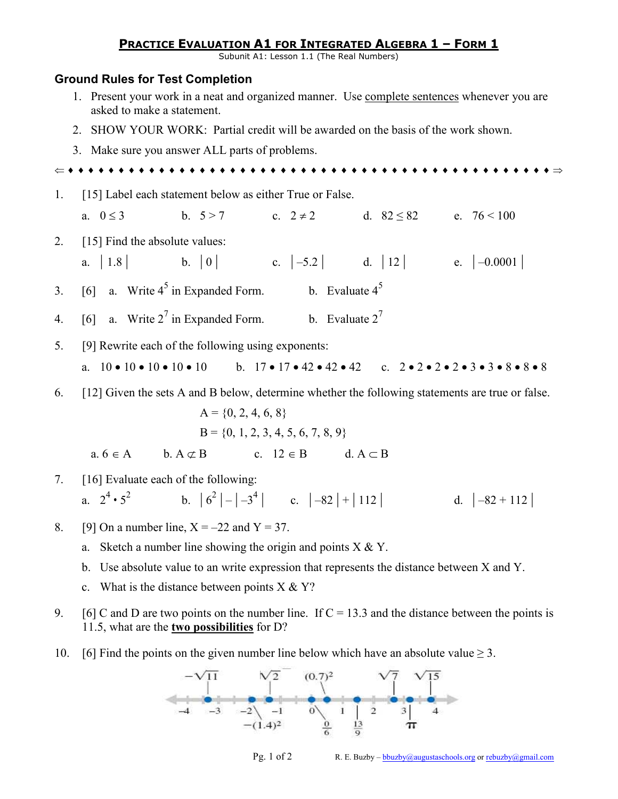## **PRACTICE EVALUATION A1 FOR INTEGRATED ALGEBRA 1 – FORM 1**

Subunit A1: Lesson 1.1 (The Real Numbers)

## **Ground Rules for Test Completion**

- 1. Present your work in a neat and organized manner. Use complete sentences whenever you are asked to make a statement.
- 2. SHOW YOUR WORK: Partial credit will be awarded on the basis of the work shown.
- 3. Make sure you answer ALL parts of problems.

⇐ ♦ ♦ ♦ ♦ ♦ ♦ ♦ ♦ ♦ ♦ ♦ ♦ ♦ ♦ ♦ ♦ ♦ ♦ ♦ ♦ ♦ ♦ ♦ ♦ ♦ ♦ ♦ ♦ ♦ ♦ ♦ ♦ ♦ ♦ ♦ ♦ ♦ ♦ ♦ ♦ ♦ ♦ ♦ ♦ ♦ ♦ ♦ ♦ ⇒

- 1. [15] Label each statement below as either True or False. a.  $0 \le 3$  b.  $5 > 7$  c.  $2 \ne 2$  d.  $82 \le 82$  e.  $76 < 100$ 2. [15] Find the absolute values: a.  $| 1.8 |$  b.  $| 0 |$  c.  $|-5.2 |$  d.  $| 12 |$  e.  $|-0.0001 |$ 3. [6] a. Write  $4^5$  in Expanded Form. b. Evaluate  $4^5$ 4. [6] a. Write  $2^7$  in Expanded Form. b. Evaluate  $2^7$ 5. [9] Rewrite each of the following using exponents: a.  $10 \cdot 10 \cdot 10 \cdot 10 \cdot 10$  b.  $17 \cdot 17 \cdot 42 \cdot 42 \cdot 42$  c.  $2 \cdot 2 \cdot 2 \cdot 2 \cdot 3 \cdot 3 \cdot 8 \cdot 8 \cdot 8$ 6. [12] Given the sets A and B below, determine whether the following statements are true or false.  $A = \{0, 2, 4, 6, 8\}$  $B = \{0, 1, 2, 3, 4, 5, 6, 7, 8, 9\}$ a.  $6 \in A$  b.  $A \not\subset B$  c.  $12 \in B$  d.  $A \subset B$ 7. [16] Evaluate each of the following: a.  $2^4 \cdot 5^2$ b.  $|6^2| - |-3^4|$  c.  $|-82| + |112|$  d.  $|-82 + 112|$ 8. [9] On a number line,  $X = -22$  and  $Y = 37$ . a. Sketch a number line showing the origin and points  $X \& Y$ . b. Use absolute value to an write expression that represents the distance between X and Y. c. What is the distance between points  $X & Y$ ? 9. [6] C and D are two points on the number line. If  $C = 13.3$  and the distance between the points is 11.5, what are the **two possibilities** for D?
- 10. [6] Find the points on the given number line below which have an absolute value  $>$  3.